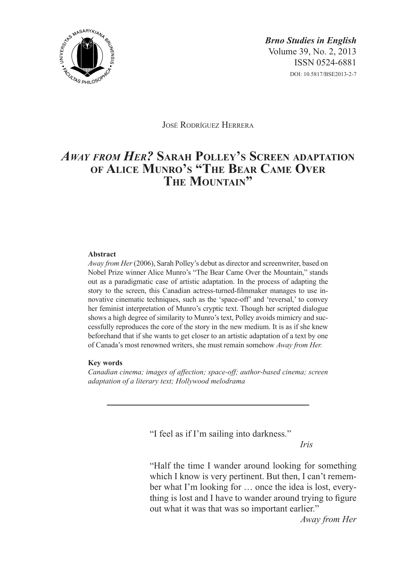

*Brno Studies in English* Volume 39, No. 2, 2013 ISSN 0524-6881 DOI: 10.5817/BSE2013-2-7

# José Rodríguez Herrera

# *Away from Her?* **Sarah Polley's Screen adaptation of Alice Munro's "The Bear Came Over The Mountain"**

#### **Abstract**

*Away from Her* (2006), Sarah Polley's debut as director and screenwriter, based on Nobel Prize winner Alice Munro's "The Bear Came Over the Mountain," stands out as a paradigmatic case of artistic adaptation. In the process of adapting the story to the screen, this Canadian actress-turned-filmmaker manages to use innovative cinematic techniques, such as the 'space-off' and 'reversal,' to convey her feminist interpretation of Munro's cryptic text. Though her scripted dialogue shows a high degree of similarity to Munro's text, Polley avoids mimicry and successfully reproduces the core of the story in the new medium. It is as if she knew beforehand that if she wants to get closer to an artistic adaptation of a text by one of Canada's most renowned writers, she must remain somehow *Away from Her.*

#### **Key words**

*Canadian cinema; images of affection; space-off; author-based cinema; screen adaptation of a literary text; Hollywood melodrama*

"I feel as if I'm sailing into darkness."

*Iris*

"Half the time I wander around looking for something which I know is very pertinent. But then, I can't remember what I'm looking for … once the idea is lost, everything is lost and I have to wander around trying to figure out what it was that was so important earlier."

*Away from Her*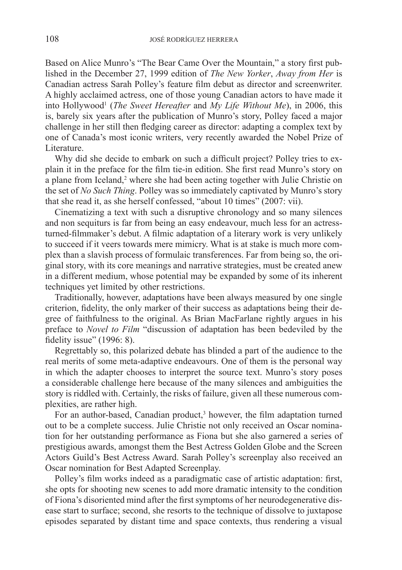Based on Alice Munro's "The Bear Came Over the Mountain," a story first published in the December 27, 1999 edition of *The New Yorker*, *Away from Her* is Canadian actress Sarah Polley's feature film debut as director and screenwriter. A highly acclaimed actress, one of those young Canadian actors to have made it into Hollywood<sup>1</sup> (*The Sweet Hereafter* and *My Life Without Me*), in 2006, this is, barely six years after the publication of Munro's story, Polley faced a major challenge in her still then fledging career as director: adapting a complex text by one of Canada's most iconic writers, very recently awarded the Nobel Prize of Literature.

Why did she decide to embark on such a difficult project? Polley tries to explain it in the preface for the film tie-in edition. She first read Munro's story on a plane from Iceland,<sup>2</sup> where she had been acting together with Julie Christie on the set of *No Such Thing*. Polley was so immediately captivated by Munro's story that she read it, as she herself confessed, "about 10 times" (2007: vii).

Cinematizing a text with such a disruptive chronology and so many silences and non sequiturs is far from being an easy endeavour, much less for an actressturned-filmmaker's debut. A filmic adaptation of a literary work is very unlikely to succeed if it veers towards mere mimicry. What is at stake is much more complex than a slavish process of formulaic transferences. Far from being so, the original story, with its core meanings and narrative strategies, must be created anew in a different medium, whose potential may be expanded by some of its inherent techniques yet limited by other restrictions.

Traditionally, however, adaptations have been always measured by one single criterion, fidelity, the only marker of their success as adaptations being their degree of faithfulness to the original. As Brian MacFarlane rightly argues in his preface to *Novel to Film* "discussion of adaptation has been bedeviled by the fidelity issue" (1996: 8).

Regrettably so, this polarized debate has blinded a part of the audience to the real merits of some meta-adaptive endeavours. One of them is the personal way in which the adapter chooses to interpret the source text. Munro's story poses a considerable challenge here because of the many silences and ambiguities the story is riddled with. Certainly, the risks of failure, given all these numerous complexities, are rather high.

For an author-based, Canadian product,<sup>3</sup> however, the film adaptation turned out to be a complete success. Julie Christie not only received an Oscar nomination for her outstanding performance as Fiona but she also garnered a series of prestigious awards, amongst them the Best Actress Golden Globe and the Screen Actors Guild's Best Actress Award. Sarah Polley's screenplay also received an Oscar nomination for Best Adapted Screenplay.

Polley's film works indeed as a paradigmatic case of artistic adaptation: first, she opts for shooting new scenes to add more dramatic intensity to the condition of Fiona's disoriented mind after the first symptoms of her neurodegenerative disease start to surface; second, she resorts to the technique of dissolve to juxtapose episodes separated by distant time and space contexts, thus rendering a visual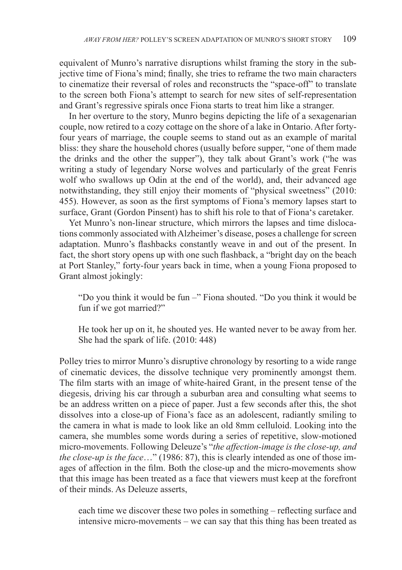equivalent of Munro's narrative disruptions whilst framing the story in the subjective time of Fiona's mind; finally, she tries to reframe the two main characters to cinematize their reversal of roles and reconstructs the "space-off" to translate to the screen both Fiona's attempt to search for new sites of self-representation and Grant's regressive spirals once Fiona starts to treat him like a stranger.

In her overture to the story, Munro begins depicting the life of a sexagenarian couple, now retired to a cozy cottage on the shore of a lake in Ontario. After fortyfour years of marriage, the couple seems to stand out as an example of marital bliss: they share the household chores (usually before supper, "one of them made the drinks and the other the supper"), they talk about Grant's work ("he was writing a study of legendary Norse wolves and particularly of the great Fenris wolf who swallows up Odin at the end of the world), and, their advanced age notwithstanding, they still enjoy their moments of "physical sweetness" (2010: 455). However, as soon as the first symptoms of Fiona's memory lapses start to surface, Grant (Gordon Pinsent) has to shift his role to that of Fiona's caretaker.

Yet Munro's non-linear structure, which mirrors the lapses and time dislocations commonly associated with Alzheimer's disease, poses a challenge for screen adaptation. Munro's flashbacks constantly weave in and out of the present. In fact, the short story opens up with one such flashback, a "bright day on the beach at Port Stanley," forty-four years back in time, when a young Fiona proposed to Grant almost jokingly:

"Do you think it would be fun –" Fiona shouted. "Do you think it would be fun if we got married?"

He took her up on it, he shouted yes. He wanted never to be away from her. She had the spark of life. (2010: 448)

Polley tries to mirror Munro's disruptive chronology by resorting to a wide range of cinematic devices, the dissolve technique very prominently amongst them. The film starts with an image of white-haired Grant, in the present tense of the diegesis, driving his car through a suburban area and consulting what seems to be an address written on a piece of paper. Just a few seconds after this, the shot dissolves into a close-up of Fiona's face as an adolescent, radiantly smiling to the camera in what is made to look like an old 8mm celluloid. Looking into the camera, she mumbles some words during a series of repetitive, slow-motioned micro-movements. Following Deleuze's "*the affection-image is the close-up, and the close-up is the face*…" (1986: 87), this is clearly intended as one of those images of affection in the film. Both the close-up and the micro-movements show that this image has been treated as a face that viewers must keep at the forefront of their minds. As Deleuze asserts,

each time we discover these two poles in something – reflecting surface and intensive micro-movements – we can say that this thing has been treated as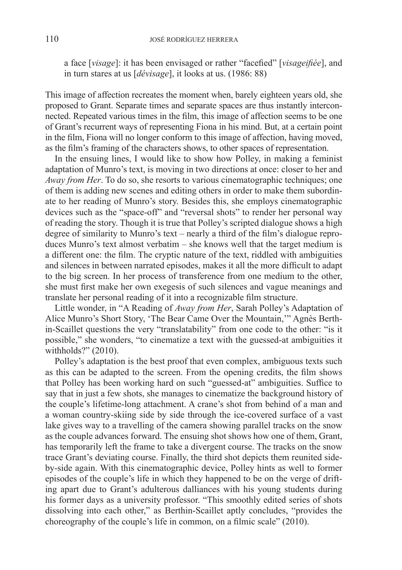a face [*visage*]: it has been envisaged or rather "facefied" [*visageifiée*], and in turn stares at us [*dévisage*], it looks at us. (1986: 88)

This image of affection recreates the moment when, barely eighteen years old, she proposed to Grant. Separate times and separate spaces are thus instantly interconnected. Repeated various times in the film, this image of affection seems to be one of Grant's recurrent ways of representing Fiona in his mind. But, at a certain point in the film, Fiona will no longer conform to this image of affection, having moved, as the film's framing of the characters shows, to other spaces of representation.

In the ensuing lines, I would like to show how Polley, in making a feminist adaptation of Munro's text, is moving in two directions at once: closer to her and *Away from Her*. To do so, she resorts to various cinematographic techniques; one of them is adding new scenes and editing others in order to make them subordinate to her reading of Munro's story. Besides this, she employs cinematographic devices such as the "space-off" and "reversal shots" to render her personal way of reading the story. Though it is true that Polley's scripted dialogue shows a high degree of similarity to Munro's text – nearly a third of the film's dialogue reproduces Munro's text almost verbatim – she knows well that the target medium is a different one: the film. The cryptic nature of the text, riddled with ambiguities and silences in between narrated episodes, makes it all the more difficult to adapt to the big screen. In her process of transference from one medium to the other, she must first make her own exegesis of such silences and vague meanings and translate her personal reading of it into a recognizable film structure.

Little wonder, in "A Reading of *Away from Her*, Sarah Polley's Adaptation of Alice Munro's Short Story, 'The Bear Came Over the Mountain,'" Agnès Berthin-Scaillet questions the very "translatability" from one code to the other: "is it possible," she wonders, "to cinematize a text with the guessed-at ambiguities it withholds?" (2010).

Polley's adaptation is the best proof that even complex, ambiguous texts such as this can be adapted to the screen. From the opening credits, the film shows that Polley has been working hard on such "guessed-at" ambiguities. Suffice to say that in just a few shots, she manages to cinematize the background history of the couple's lifetime-long attachment. A crane's shot from behind of a man and a woman country-skiing side by side through the ice-covered surface of a vast lake gives way to a travelling of the camera showing parallel tracks on the snow as the couple advances forward. The ensuing shot shows how one of them, Grant, has temporarily left the frame to take a divergent course. The tracks on the snow trace Grant's deviating course. Finally, the third shot depicts them reunited sideby-side again. With this cinematographic device, Polley hints as well to former episodes of the couple's life in which they happened to be on the verge of drifting apart due to Grant's adulterous dalliances with his young students during his former days as a university professor. "This smoothly edited series of shots dissolving into each other," as Berthin-Scaillet aptly concludes, "provides the choreography of the couple's life in common, on a filmic scale" (2010).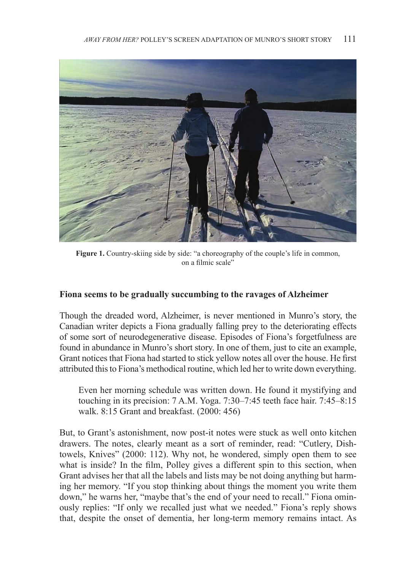

Figure 1. Country-skiing side by side: "a choreography of the couple's life in common, on a filmic scale"

# **Fiona seems to be gradually succumbing to the ravages of Alzheimer**

Though the dreaded word, Alzheimer, is never mentioned in Munro's story, the Canadian writer depicts a Fiona gradually falling prey to the deteriorating effects of some sort of neurodegenerative disease. Episodes of Fiona's forgetfulness are found in abundance in Munro's short story. In one of them, just to cite an example, Grant notices that Fiona had started to stick yellow notes all over the house. He first attributed this to Fiona's methodical routine, which led her to write down everything.

Even her morning schedule was written down. He found it mystifying and touching in its precision: 7 A.M. Yoga. 7:30–7:45 teeth face hair. 7:45–8:15 walk. 8:15 Grant and breakfast. (2000: 456)

But, to Grant's astonishment, now post-it notes were stuck as well onto kitchen drawers. The notes, clearly meant as a sort of reminder, read: "Cutlery, Dishtowels, Knives" (2000: 112). Why not, he wondered, simply open them to see what is inside? In the film, Polley gives a different spin to this section, when Grant advises her that all the labels and lists may be not doing anything but harming her memory. "If you stop thinking about things the moment you write them down," he warns her, "maybe that's the end of your need to recall." Fiona ominously replies: "If only we recalled just what we needed." Fiona's reply shows that, despite the onset of dementia, her long-term memory remains intact. As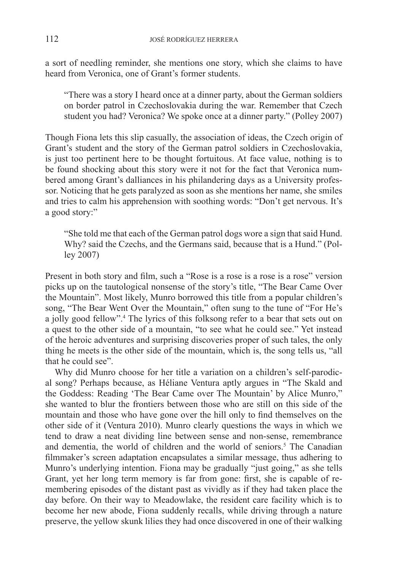a sort of needling reminder, she mentions one story, which she claims to have heard from Veronica, one of Grant's former students.

"There was a story I heard once at a dinner party, about the German soldiers on border patrol in Czechoslovakia during the war. Remember that Czech student you had? Veronica? We spoke once at a dinner party." (Polley 2007)

Though Fiona lets this slip casually, the association of ideas, the Czech origin of Grant's student and the story of the German patrol soldiers in Czechoslovakia, is just too pertinent here to be thought fortuitous. At face value, nothing is to be found shocking about this story were it not for the fact that Veronica numbered among Grant's dalliances in his philandering days as a University professor. Noticing that he gets paralyzed as soon as she mentions her name, she smiles and tries to calm his apprehension with soothing words: "Don't get nervous. It's a good story:"

"She told me that each of the German patrol dogs wore a sign that said Hund. Why? said the Czechs, and the Germans said, because that is a Hund." (Polley 2007)

Present in both story and film, such a "Rose is a rose is a rose is a rose" version picks up on the tautological nonsense of the story's title, "The Bear Came Over the Mountain". Most likely, Munro borrowed this title from a popular children's song, "The Bear Went Over the Mountain," often sung to the tune of "For He's a jolly good fellow".<sup>4</sup> The lyrics of this folksong refer to a bear that sets out on a quest to the other side of a mountain, "to see what he could see." Yet instead of the heroic adventures and surprising discoveries proper of such tales, the only thing he meets is the other side of the mountain, which is, the song tells us, "all that he could see".

Why did Munro choose for her title a variation on a children's self-parodical song? Perhaps because, as Héliane Ventura aptly argues in "The Skald and the Goddess: Reading 'The Bear Came over The Mountain' by Alice Munro," she wanted to blur the frontiers between those who are still on this side of the mountain and those who have gone over the hill only to find themselves on the other side of it (Ventura 2010). Munro clearly questions the ways in which we tend to draw a neat dividing line between sense and non-sense, remembrance and dementia, the world of children and the world of seniors.<sup>5</sup> The Canadian filmmaker's screen adaptation encapsulates a similar message, thus adhering to Munro's underlying intention. Fiona may be gradually "just going," as she tells Grant, yet her long term memory is far from gone: first, she is capable of remembering episodes of the distant past as vividly as if they had taken place the day before. On their way to Meadowlake, the resident care facility which is to become her new abode, Fiona suddenly recalls, while driving through a nature preserve, the yellow skunk lilies they had once discovered in one of their walking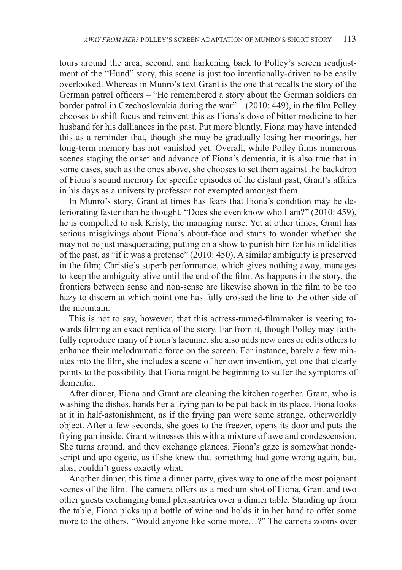tours around the area; second, and harkening back to Polley's screen readjustment of the "Hund" story, this scene is just too intentionally-driven to be easily overlooked. Whereas in Munro's text Grant is the one that recalls the story of the German patrol officers – "He remembered a story about the German soldiers on border patrol in Czechoslovakia during the war" – (2010: 449), in the film Polley chooses to shift focus and reinvent this as Fiona's dose of bitter medicine to her husband for his dalliances in the past. Put more bluntly, Fiona may have intended this as a reminder that, though she may be gradually losing her moorings, her long-term memory has not vanished yet. Overall, while Polley films numerous scenes staging the onset and advance of Fiona's dementia, it is also true that in some cases, such as the ones above, she chooses to set them against the backdrop of Fiona's sound memory for specific episodes of the distant past, Grant's affairs in his days as a university professor not exempted amongst them.

In Munro's story, Grant at times has fears that Fiona's condition may be deteriorating faster than he thought. "Does she even know who I am?" (2010: 459), he is compelled to ask Kristy, the managing nurse. Yet at other times, Grant has serious misgivings about Fiona's about-face and starts to wonder whether she may not be just masquerading, putting on a show to punish him for his infidelities of the past, as "if it was a pretense" (2010: 450). A similar ambiguity is preserved in the film; Christie's superb performance, which gives nothing away, manages to keep the ambiguity alive until the end of the film. As happens in the story, the frontiers between sense and non-sense are likewise shown in the film to be too hazy to discern at which point one has fully crossed the line to the other side of the mountain.

This is not to say, however, that this actress-turned-filmmaker is veering towards filming an exact replica of the story. Far from it, though Polley may faithfully reproduce many of Fiona's lacunae, she also adds new ones or edits others to enhance their melodramatic force on the screen. For instance, barely a few minutes into the film, she includes a scene of her own invention, yet one that clearly points to the possibility that Fiona might be beginning to suffer the symptoms of dementia.

After dinner, Fiona and Grant are cleaning the kitchen together. Grant, who is washing the dishes, hands her a frying pan to be put back in its place. Fiona looks at it in half-astonishment, as if the frying pan were some strange, otherworldly object. After a few seconds, she goes to the freezer, opens its door and puts the frying pan inside. Grant witnesses this with a mixture of awe and condescension. She turns around, and they exchange glances. Fiona's gaze is somewhat nondescript and apologetic, as if she knew that something had gone wrong again, but, alas, couldn't guess exactly what.

Another dinner, this time a dinner party, gives way to one of the most poignant scenes of the film. The camera offers us a medium shot of Fiona, Grant and two other guests exchanging banal pleasantries over a dinner table. Standing up from the table, Fiona picks up a bottle of wine and holds it in her hand to offer some more to the others. "Would anyone like some more…?" The camera zooms over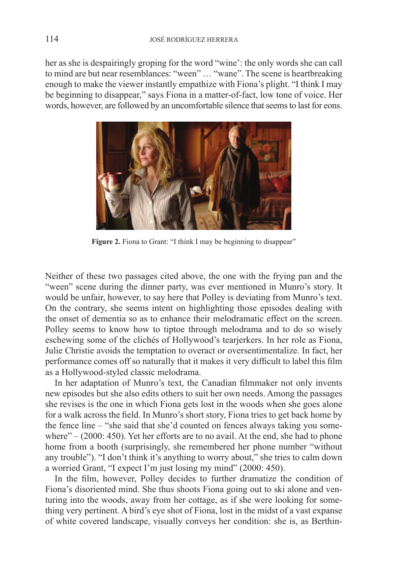her as she is despairingly groping for the word "wine': the only words she can call to mind are but near resemblances: "ween" … "wane". The scene is heartbreaking enough to make the viewer instantly empathize with Fiona's plight. "I think I may be beginning to disappear," says Fiona in a matter-of-fact, low tone of voice. Her words, however, are followed by an uncomfortable silence that seems to last for eons.



Figure 2. Fiona to Grant: "I think I may be beginning to disappear"

Neither of these two passages cited above, the one with the frying pan and the "ween" scene during the dinner party, was ever mentioned in Munro's story. It would be unfair, however, to say here that Polley is deviating from Munro's text. On the contrary, she seems intent on highlighting those episodes dealing with the onset of dementia so as to enhance their melodramatic effect on the screen. Polley seems to know how to tiptoe through melodrama and to do so wisely eschewing some of the clichés of Hollywood's tearjerkers. In her role as Fiona, Julie Christie avoids the temptation to overact or oversentimentalize. In fact, her performance comes off so naturally that it makes it very difficult to label this film as a Hollywood-styled classic melodrama.

In her adaptation of Munro's text, the Canadian filmmaker not only invents new episodes but she also edits others to suit her own needs. Among the passages she revises is the one in which Fiona gets lost in the woods when she goes alone for a walk across the field. In Munro's short story, Fiona tries to get back home by the fence line – "she said that she'd counted on fences always taking you somewhere" – (2000: 450). Yet her efforts are to no avail. At the end, she had to phone home from a booth (surprisingly, she remembered her phone number "without any trouble"). "I don't think it's anything to worry about," she tries to calm down a worried Grant, "I expect I'm just losing my mind" (2000: 450).

In the film, however, Polley decides to further dramatize the condition of Fiona's disoriented mind. She thus shoots Fiona going out to ski alone and venturing into the woods, away from her cottage, as if she were looking for something very pertinent. A bird's eye shot of Fiona, lost in the midst of a vast expanse of white covered landscape, visually conveys her condition: she is, as Berthin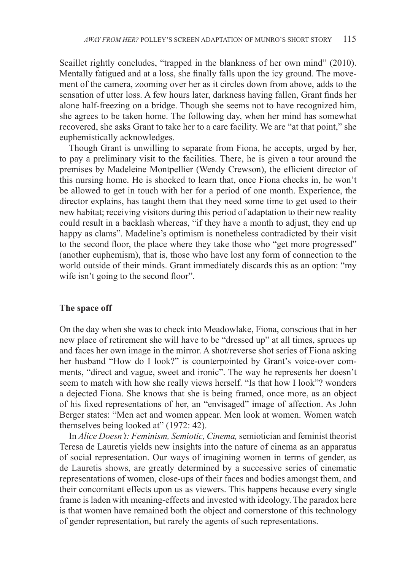Scaillet rightly concludes, "trapped in the blankness of her own mind" (2010). Mentally fatigued and at a loss, she finally falls upon the icy ground. The movement of the camera, zooming over her as it circles down from above, adds to the sensation of utter loss. A few hours later, darkness having fallen, Grant finds her alone half-freezing on a bridge. Though she seems not to have recognized him, she agrees to be taken home. The following day, when her mind has somewhat recovered, she asks Grant to take her to a care facility. We are "at that point," she euphemistically acknowledges.

Though Grant is unwilling to separate from Fiona, he accepts, urged by her, to pay a preliminary visit to the facilities. There, he is given a tour around the premises by Madeleine Montpellier (Wendy Crewson), the efficient director of this nursing home. He is shocked to learn that, once Fiona checks in, he won't be allowed to get in touch with her for a period of one month. Experience, the director explains, has taught them that they need some time to get used to their new habitat; receiving visitors during this period of adaptation to their new reality could result in a backlash whereas, "if they have a month to adjust, they end up happy as clams". Madeline's optimism is nonetheless contradicted by their visit to the second floor, the place where they take those who "get more progressed" (another euphemism), that is, those who have lost any form of connection to the world outside of their minds. Grant immediately discards this as an option: "my wife isn't going to the second floor".

## **The space off**

On the day when she was to check into Meadowlake, Fiona, conscious that in her new place of retirement she will have to be "dressed up" at all times, spruces up and faces her own image in the mirror. A shot/reverse shot series of Fiona asking her husband "How do I look?" is counterpointed by Grant's voice-over comments, "direct and vague, sweet and ironic". The way he represents her doesn't seem to match with how she really views herself. "Is that how I look"? wonders a dejected Fiona. She knows that she is being framed, once more, as an object of his fixed representations of her, an "envisaged" image of affection. As John Berger states: "Men act and women appear. Men look at women. Women watch themselves being looked at" (1972: 42).

In *Alice Doesn't: Feminism, Semiotic, Cinema,* semiotician and feminist theorist Teresa de Lauretis yields new insights into the nature of cinema as an apparatus of social representation. Our ways of imagining women in terms of gender, as de Lauretis shows, are greatly determined by a successive series of cinematic representations of women, close-ups of their faces and bodies amongst them, and their concomitant effects upon us as viewers. This happens because every single frame is laden with meaning-effects and invested with ideology. The paradox here is that women have remained both the object and cornerstone of this technology of gender representation, but rarely the agents of such representations.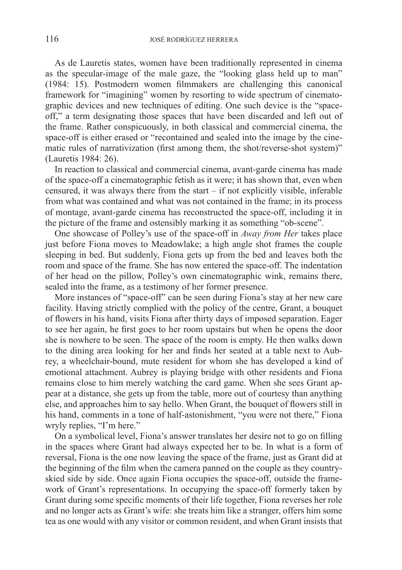As de Lauretis states, women have been traditionally represented in cinema as the specular-image of the male gaze, the "looking glass held up to man" (1984: 15). Postmodern women filmmakers are challenging this canonical framework for "imagining" women by resorting to wide spectrum of cinematographic devices and new techniques of editing. One such device is the "spaceoff," a term designating those spaces that have been discarded and left out of the frame. Rather conspicuously, in both classical and commercial cinema, the space-off is either erased or "recontained and sealed into the image by the cinematic rules of narrativization (first among them, the shot/reverse-shot system)" (Lauretis 1984: 26).

In reaction to classical and commercial cinema, avant-garde cinema has made of the space-off a cinematographic fetish as it were; it has shown that, even when censured, it was always there from the start – if not explicitly visible, inferable from what was contained and what was not contained in the frame; in its process of montage, avant-garde cinema has reconstructed the space-off, including it in the picture of the frame and ostensibly marking it as something "ob-scene".

One showcase of Polley's use of the space-off in *Away from Her* takes place just before Fiona moves to Meadowlake; a high angle shot frames the couple sleeping in bed. But suddenly, Fiona gets up from the bed and leaves both the room and space of the frame. She has now entered the space-off. The indentation of her head on the pillow, Polley's own cinematographic wink, remains there, sealed into the frame, as a testimony of her former presence.

More instances of "space-off" can be seen during Fiona's stay at her new care facility. Having strictly complied with the policy of the centre, Grant, a bouquet of flowers in his hand, visits Fiona after thirty days of imposed separation. Eager to see her again, he first goes to her room upstairs but when he opens the door she is nowhere to be seen. The space of the room is empty. He then walks down to the dining area looking for her and finds her seated at a table next to Aubrey, a wheelchair-bound, mute resident for whom she has developed a kind of emotional attachment. Aubrey is playing bridge with other residents and Fiona remains close to him merely watching the card game. When she sees Grant appear at a distance, she gets up from the table, more out of courtesy than anything else, and approaches him to say hello. When Grant, the bouquet of flowers still in his hand, comments in a tone of half-astonishment, "you were not there," Fiona wryly replies, "I'm here."

On a symbolical level, Fiona's answer translates her desire not to go on filling in the spaces where Grant had always expected her to be. In what is a form of reversal, Fiona is the one now leaving the space of the frame, just as Grant did at the beginning of the film when the camera panned on the couple as they countryskied side by side. Once again Fiona occupies the space-off, outside the framework of Grant's representations. In occupying the space-off formerly taken by Grant during some specific moments of their life together, Fiona reverses her role and no longer acts as Grant's wife: she treats him like a stranger, offers him some tea as one would with any visitor or common resident, and when Grant insists that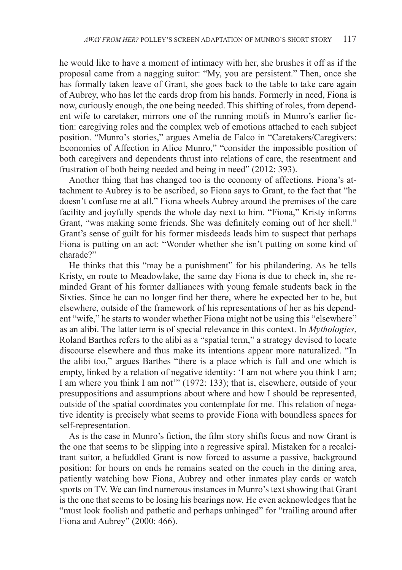he would like to have a moment of intimacy with her, she brushes it off as if the proposal came from a nagging suitor: "My, you are persistent." Then, once she has formally taken leave of Grant, she goes back to the table to take care again of Aubrey, who has let the cards drop from his hands. Formerly in need, Fiona is now, curiously enough, the one being needed. This shifting of roles, from dependent wife to caretaker, mirrors one of the running motifs in Munro's earlier fiction: caregiving roles and the complex web of emotions attached to each subject position. "Munro's stories," argues Amelia de Falco in "Caretakers/Caregivers: Economies of Affection in Alice Munro," "consider the impossible position of both caregivers and dependents thrust into relations of care, the resentment and frustration of both being needed and being in need" (2012: 393).

Another thing that has changed too is the economy of affections. Fiona's attachment to Aubrey is to be ascribed, so Fiona says to Grant, to the fact that "he doesn't confuse me at all." Fiona wheels Aubrey around the premises of the care facility and joyfully spends the whole day next to him. "Fiona," Kristy informs Grant, "was making some friends. She was definitely coming out of her shell." Grant's sense of guilt for his former misdeeds leads him to suspect that perhaps Fiona is putting on an act: "Wonder whether she isn't putting on some kind of charade?"

He thinks that this "may be a punishment" for his philandering. As he tells Kristy, en route to Meadowlake, the same day Fiona is due to check in, she reminded Grant of his former dalliances with young female students back in the Sixties. Since he can no longer find her there, where he expected her to be, but elsewhere, outside of the framework of his representations of her as his dependent "wife," he starts to wonder whether Fiona might not be using this "elsewhere" as an alibi. The latter term is of special relevance in this context. In *Mythologies*, Roland Barthes refers to the alibi as a "spatial term," a strategy devised to locate discourse elsewhere and thus make its intentions appear more naturalized. "In the alibi too," argues Barthes "there is a place which is full and one which is empty, linked by a relation of negative identity: 'I am not where you think I am; I am where you think I am not'" (1972: 133); that is, elsewhere, outside of your presuppositions and assumptions about where and how I should be represented, outside of the spatial coordinates you contemplate for me. This relation of negative identity is precisely what seems to provide Fiona with boundless spaces for self-representation.

As is the case in Munro's fiction, the film story shifts focus and now Grant is the one that seems to be slipping into a regressive spiral. Mistaken for a recalcitrant suitor, a befuddled Grant is now forced to assume a passive, background position: for hours on ends he remains seated on the couch in the dining area, patiently watching how Fiona, Aubrey and other inmates play cards or watch sports on TV. We can find numerous instances in Munro's text showing that Grant is the one that seems to be losing his bearings now. He even acknowledges that he "must look foolish and pathetic and perhaps unhinged" for "trailing around after Fiona and Aubrey" (2000: 466).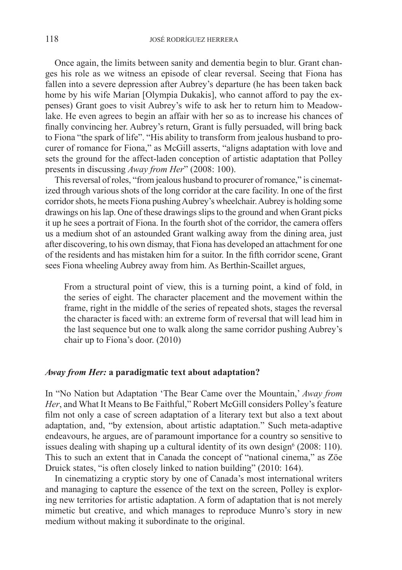Once again, the limits between sanity and dementia begin to blur. Grant changes his role as we witness an episode of clear reversal. Seeing that Fiona has fallen into a severe depression after Aubrey's departure (he has been taken back home by his wife Marian [Olympia Dukakis], who cannot afford to pay the expenses) Grant goes to visit Aubrey's wife to ask her to return him to Meadowlake. He even agrees to begin an affair with her so as to increase his chances of finally convincing her. Aubrey's return, Grant is fully persuaded, will bring back to Fiona "the spark of life". "His ability to transform from jealous husband to procurer of romance for Fiona," as McGill asserts, "aligns adaptation with love and sets the ground for the affect-laden conception of artistic adaptation that Polley presents in discussing *Away from Her*" (2008: 100).

This reversal of roles, "from jealous husband to procurer of romance," is cinematized through various shots of the long corridor at the care facility. In one of the first corridor shots, he meets Fiona pushing Aubrey's wheelchair. Aubrey is holding some drawings on his lap. One of these drawings slips to the ground and when Grant picks it up he sees a portrait of Fiona. In the fourth shot of the corridor, the camera offers us a medium shot of an astounded Grant walking away from the dining area, just after discovering, to his own dismay, that Fiona has developed an attachment for one of the residents and has mistaken him for a suitor. In the fifth corridor scene, Grant sees Fiona wheeling Aubrey away from him. As Berthin-Scaillet argues,

From a structural point of view, this is a turning point, a kind of fold, in the series of eight. The character placement and the movement within the frame, right in the middle of the series of repeated shots, stages the reversal the character is faced with: an extreme form of reversal that will lead him in the last sequence but one to walk along the same corridor pushing Aubrey's chair up to Fiona's door. (2010)

### *Away from Her:* **a paradigmatic text about adaptation?**

In "No Nation but Adaptation 'The Bear Came over the Mountain,' *Away from Her*, and What It Means to Be Faithful," Robert McGill considers Polley's feature film not only a case of screen adaptation of a literary text but also a text about adaptation, and, "by extension, about artistic adaptation." Such meta-adaptive endeavours, he argues, are of paramount importance for a country so sensitive to issues dealing with shaping up a cultural identity of its own design $6(2008:110)$ . This to such an extent that in Canada the concept of "national cinema," as Zöe Druick states, "is often closely linked to nation building" (2010: 164).

In cinematizing a cryptic story by one of Canada's most international writers and managing to capture the essence of the text on the screen, Polley is exploring new territories for artistic adaptation. A form of adaptation that is not merely mimetic but creative, and which manages to reproduce Munro's story in new medium without making it subordinate to the original.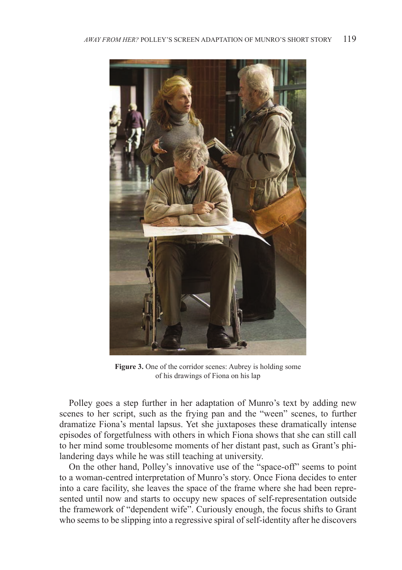

**Figure 3.** One of the corridor scenes: Aubrey is holding some of his drawings of Fiona on his lap

Polley goes a step further in her adaptation of Munro's text by adding new scenes to her script, such as the frying pan and the "ween" scenes, to further dramatize Fiona's mental lapsus. Yet she juxtaposes these dramatically intense episodes of forgetfulness with others in which Fiona shows that she can still call to her mind some troublesome moments of her distant past, such as Grant's philandering days while he was still teaching at university.

On the other hand, Polley's innovative use of the "space-off" seems to point to a woman-centred interpretation of Munro's story. Once Fiona decides to enter into a care facility, she leaves the space of the frame where she had been represented until now and starts to occupy new spaces of self-representation outside the framework of "dependent wife". Curiously enough, the focus shifts to Grant who seems to be slipping into a regressive spiral of self-identity after he discovers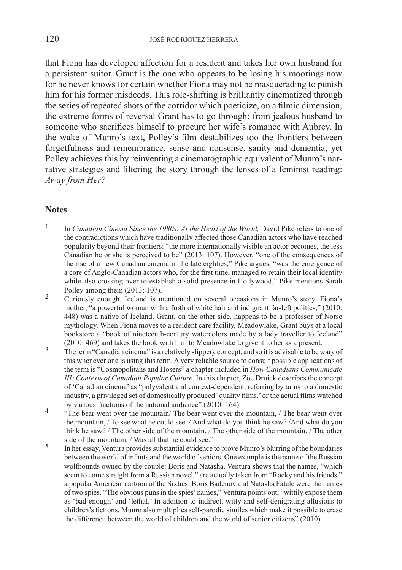that Fiona has developed affection for a resident and takes her own husband for a persistent suitor. Grant is the one who appears to be losing his moorings now for he never knows for certain whether Fiona may not be masquerading to punish him for his former misdeeds. This role-shifting is brilliantly cinematized through the series of repeated shots of the corridor which poeticize, on a filmic dimension, the extreme forms of reversal Grant has to go through: from jealous husband to someone who sacrifices himself to procure her wife's romance with Aubrey. In the wake of Munro's text, Polley's film destabilizes too the frontiers between forgetfulness and remembrance, sense and nonsense, sanity and dementia; yet Polley achieves this by reinventing a cinematographic equivalent of Munro's narrative strategies and filtering the story through the lenses of a feminist reading: *Away from Her?*

# **Notes**

- <sup>1</sup> In *Canadian Cinema Since the 1980s: At the Heart of the World*, David Pike refers to one of the contradictions which have traditionally affected those Canadian actors who have reached popularity beyond their frontiers: "the more internationally visible an actor becomes, the less Canadian he or she is perceived to be" (2013: 107). However, "one of the consequences of the rise of a new Canadian cinema in the late eighties," Pike argues, "was the emergence of a core of Anglo-Canadian actors who, for the first time, managed to retain their local identity while also crossing over to establish a solid presence in Hollywood." Pike mentions Sarah Polley among them (2013: 107).
- <sup>2</sup> Curiously enough, Iceland is mentioned on several occasions in Munro's story. Fiona's mother, "a powerful woman with a froth of white hair and indignant far-left politics," (2010: 448) was a native of Iceland. Grant, on the other side, happens to be a professor of Norse mythology. When Fiona moves to a resident care facility, Meadowlake, Grant buys at a local bookstore a "book of nineteenth-century watercolors made by a lady traveller to Iceland" (2010: 469) and takes the book with him to Meadowlake to give it to her as a present.
- <sup>3</sup> The term "Canadian cinema" is a relatively slippery concept, and so it is advisable to be wary of this whenever one is using this term. A very reliable source to consult possible applications of the term is "Cosmopolitans and Hosers" a chapter included in *How Canadians Communicate III: Contexts of Canadian Popular Culture*. In this chapter, Zöe Druick describes the concept of 'Canadian cinema' as "polyvalent and context-dependent, referring by turns to a domestic industry, a privileged set of domestically produced 'quality films,' or the actual films watched by various fractions of the national audience" (2010: 164).
- <sup>4</sup> "The bear went over the mountain/ The bear went over the mountain, / The bear went over the mountain, / To see what he could see. / And what do you think he saw? /And what do you think he saw? / The other side of the mountain, / The other side of the mountain, / The other side of the mountain, / Was all that he could see."
- <sup>5</sup> In her essay, Ventura provides substantial evidence to prove Munro's blurring of the boundaries between the world of infants and the world of seniors. One example is the name of the Russian wolfhounds owned by the couple: Boris and Natasha. Ventura shows that the names, "which seem to come straight from a Russian novel," are actually taken from "Rocky and his friends," a popular American cartoon of the Sixties. Boris Badenov and Natasha Fatale were the names of two spies. "The obvious puns in the spies' names," Ventura points out, "wittily expose them as 'bad enough' and 'lethal.' In addition to indirect, witty and self-denigrating allusions to children's fictions, Munro also multiplies self-parodic similes which make it possible to erase the difference between the world of children and the world of senior citizens" (2010).